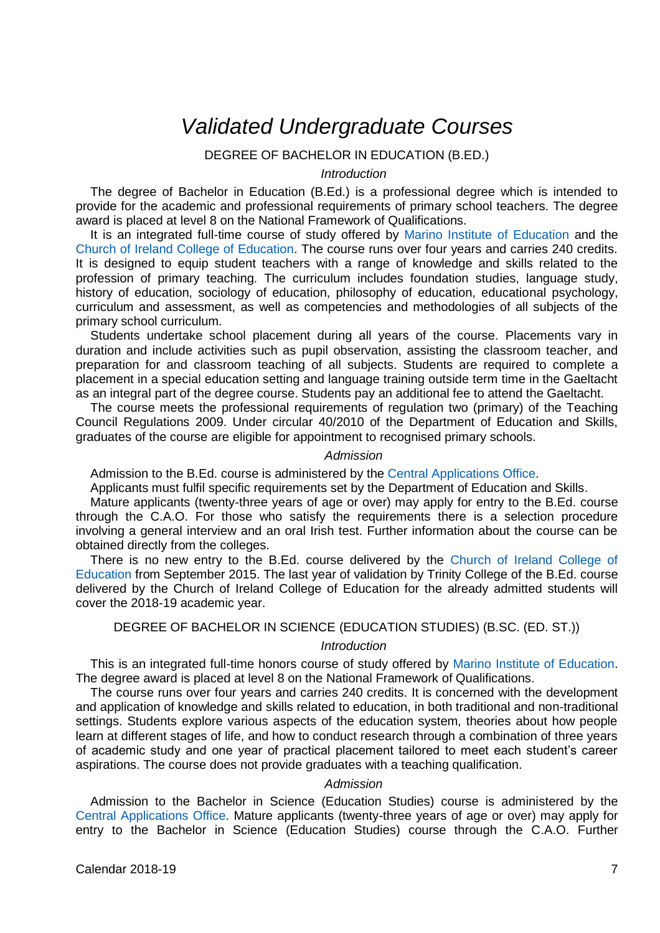# *Validated Undergraduate Courses*

## DEGREE OF BACHELOR IN EDUCATION (B.ED.)

## *Introduction*

The degree of Bachelor in Education (B.Ed.) is a professional degree which is intended to provide for the academic and professional requirements of primary school teachers. The degree award is placed at level 8 on the National Framework of Qualifications.

It is an integrated full-time course of study offered by [Marino Institute of Education](http://www.mie.ie/) and the Church [of Ireland College of Education.](http://cice.ie/) The course runs over four years and carries 240 credits. It is designed to equip student teachers with a range of knowledge and skills related to the profession of primary teaching. The curriculum includes foundation studies, language study, history of education, sociology of education, philosophy of education, educational psychology, curriculum and assessment, as well as competencies and methodologies of all subjects of the primary school curriculum.

Students undertake school placement during all years of the course. Placements vary in duration and include activities such as pupil observation, assisting the classroom teacher, and preparation for and classroom teaching of all subjects. Students are required to complete a placement in a special education setting and language training outside term time in the Gaeltacht as an integral part of the degree course. Students pay an additional fee to attend the Gaeltacht.

The course meets the professional requirements of regulation two (primary) of the Teaching Council Regulations 2009. Under circular 40/2010 of the Department of Education and Skills, graduates of the course are eligible for appointment to recognised primary schools.

#### *Admission*

Admission to the B.Ed. course is administered by the [Central Applications Office.](https://www.cao.ie/)

Applicants must fulfil specific requirements set by the Department of Education and Skills.

Mature applicants (twenty-three years of age or over) may apply for entry to the B.Ed. course through the C.A.O. For those who satisfy the requirements there is a selection procedure involving a general interview and an oral Irish test. Further information about the course can be obtained directly from the colleges.

There is no new entry to the B.Ed. course delivered by the Church of Ireland College of [Education](http://cice.ie/) from September 2015. The last year of validation by Trinity College of the B.Ed. course delivered by the Church of Ireland College of Education for the already admitted students will cover the 2018-19 academic year.

DEGREE OF BACHELOR IN SCIENCE (EDUCATION STUDIES) (B.SC. (ED. ST.))

# *Introduction*

This is an integrated full-time honors course of study offered by [Marino Institute of Education.](http://www.mie.ie/)  The degree award is placed at level 8 on the National Framework of Qualifications.

The course runs over four years and carries 240 credits. It is concerned with the development and application of knowledge and skills related to education, in both traditional and non-traditional settings. Students explore various aspects of the education system, theories about how people learn at different stages of life, and how to conduct research through a combination of three years of academic study and one year of practical placement tailored to meet each student's career aspirations. The course does not provide graduates with a teaching qualification.

# *Admission*

Admission to the Bachelor in Science (Education Studies) course is administered by the [Central Applications Office.](https://www.cao.ie/) Mature applicants (twenty-three years of age or over) may apply for entry to the Bachelor in Science (Education Studies) course through the C.A.O. Further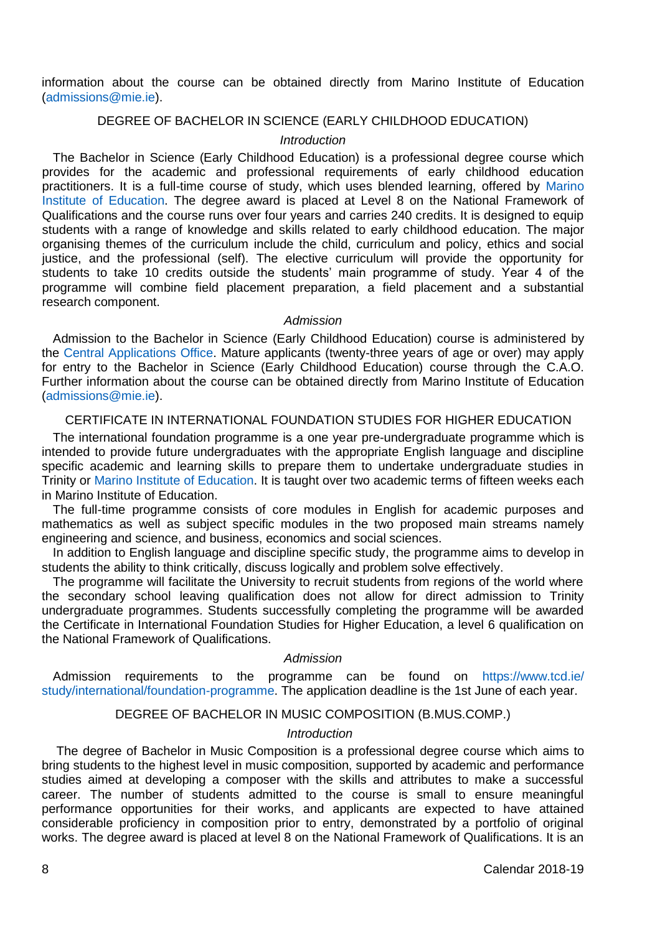information about the course can be obtained directly from Marino Institute of Education [\(admissions@mie.ie\)](mailto:admissions@mie.ie).

## DEGREE OF BACHELOR IN SCIENCE (EARLY CHILDHOOD EDUCATION)

## *Introduction*

The Bachelor in Science (Early Childhood Education) is a professional degree course which provides for the academic and professional requirements of early childhood education practitioners. It is a full-time course of study, which uses blended learning, offered by [Marino](http://www.mie.ie/)  Institute [of Education.](http://www.mie.ie/) The degree award is placed at Level 8 on the National Framework of Qualifications and the course runs over four years and carries 240 credits. It is designed to equip students with a range of knowledge and skills related to early childhood education. The major organising themes of the curriculum include the child, curriculum and policy, ethics and social justice, and the professional (self). The elective curriculum will provide the opportunity for students to take 10 credits outside the students' main programme of study. Year 4 of the programme will combine field placement preparation, a field placement and a substantial research component.

## *Admission*

Admission to the Bachelor in Science (Early Childhood Education) course is administered by the [Central Applications Office.](https://www.cao.ie/) Mature applicants (twenty-three years of age or over) may apply for entry to the Bachelor in Science (Early Childhood Education) course through the C.A.O. Further information about the course can be obtained directly from Marino Institute of Education [\(admissions@mie.ie\)](mailto:admissions@mie.ie).

#### CERTIFICATE IN INTERNATIONAL FOUNDATION STUDIES FOR HIGHER EDUCATION

The international foundation programme is a one year pre-undergraduate programme which is intended to provide future undergraduates with the appropriate English language and discipline specific academic and learning skills to prepare them to undertake undergraduate studies in Trinity or [Marino Institute of Education.](http://www.mie.ie/) It is taught over two academic terms of fifteen weeks each in Marino Institute of Education.

The full-time programme consists of core modules in English for academic purposes and mathematics as well as subject specific modules in the two proposed main streams namely engineering and science, and business, economics and social sciences.

In addition to English language and discipline specific study, the programme aims to develop in students the ability to think critically, discuss logically and problem solve effectively.

The programme will facilitate the University to recruit students from regions of the world where the secondary school leaving qualification does not allow for direct admission to Trinity undergraduate programmes. Students successfully completing the programme will be awarded the Certificate in International Foundation Studies for Higher Education, a level 6 qualification on the National Framework of Qualifications.

# *Admission*

Admission requirements to the programme can be found on [https://www.tcd.ie/](https://www.tcd.ie/study/international/foundation-programme) [study/international/foundation-programme.](https://www.tcd.ie/study/international/foundation-programme) The application deadline is the 1st June of each year.

# DEGREE OF BACHELOR IN MUSIC COMPOSITION (B.MUS.COMP.)

#### *Introduction*

The degree of Bachelor in Music Composition is a professional degree course which aims to bring students to the highest level in music composition, supported by academic and performance studies aimed at developing a composer with the skills and attributes to make a successful career. The number of students admitted to the course is small to ensure meaningful performance opportunities for their works, and applicants are expected to have attained considerable proficiency in composition prior to entry, demonstrated by a portfolio of original works. The degree award is placed at level 8 on the National Framework of Qualifications. It is an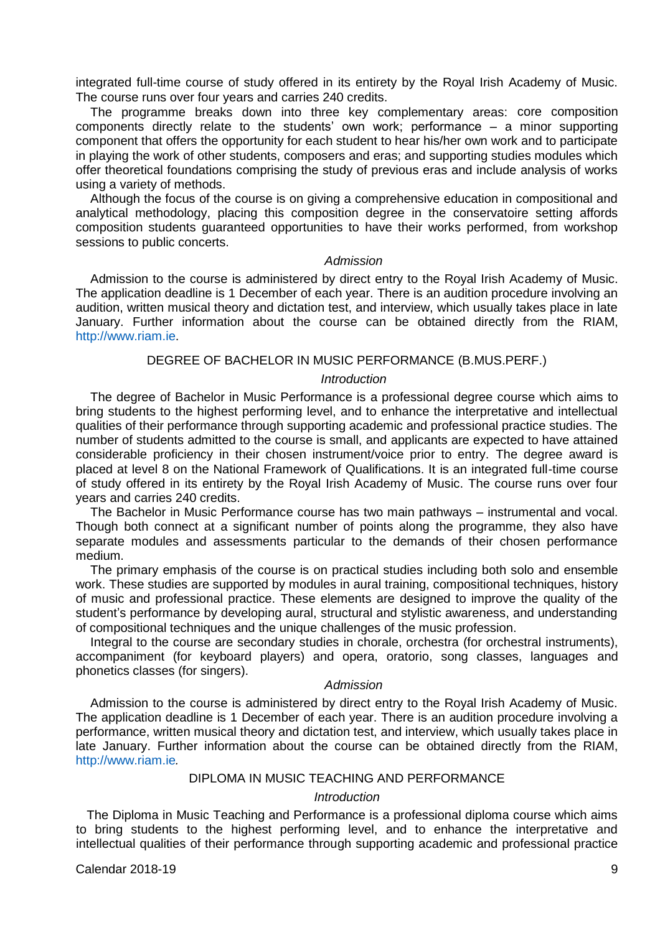integrated full-time course of study offered in its entirety by the Royal Irish Academy of Music. The course runs over four years and carries 240 credits.

The programme breaks down into three key complementary areas: core composition components directly relate to the students' own work; performance – a minor supporting component that offers the opportunity for each student to hear his/her own work and to participate in playing the work of other students, composers and eras; and supporting studies modules which offer theoretical foundations comprising the study of previous eras and include analysis of works using a variety of methods.

Although the focus of the course is on giving a comprehensive education in compositional and analytical methodology, placing this composition degree in the conservatoire setting affords composition students guaranteed opportunities to have their works performed, from workshop sessions to public concerts.

#### *Admission*

Admission to the course is administered by direct entry to the Royal Irish Academy of Music. The application deadline is 1 December of each year. There is an audition procedure involving an audition, written musical theory and dictation test, and interview, which usually takes place in late January. Further information about the course can be obtained directly from the RIAM, [http://www.riam.ie.](http://www.riam.ie/)

## DEGREE OF BACHELOR IN MUSIC PERFORMANCE (B.MUS.PERF.)

## *Introduction*

The degree of Bachelor in Music Performance is a professional degree course which aims to bring students to the highest performing level, and to enhance the interpretative and intellectual qualities of their performance through supporting academic and professional practice studies. The number of students admitted to the course is small, and applicants are expected to have attained considerable proficiency in their chosen instrument/voice prior to entry. The degree award is placed at level 8 on the National Framework of Qualifications. It is an integrated full-time course of study offered in its entirety by the Royal Irish Academy of Music. The course runs over four years and carries 240 credits.

The Bachelor in Music Performance course has two main pathways – instrumental and vocal. Though both connect at a significant number of points along the programme, they also have separate modules and assessments particular to the demands of their chosen performance medium.

The primary emphasis of the course is on practical studies including both solo and ensemble work. These studies are supported by modules in aural training, compositional techniques, history of music and professional practice. These elements are designed to improve the quality of the student's performance by developing aural, structural and stylistic awareness, and understanding of compositional techniques and the unique challenges of the music profession.

Integral to the course are secondary studies in chorale, orchestra (for orchestral instruments), accompaniment (for keyboard players) and opera, oratorio, song classes, languages and phonetics classes (for singers).

## *Admission*

Admission to the course is administered by direct entry to the Royal Irish Academy of Music. The application deadline is 1 December of each year. There is an audition procedure involving a performance, written musical theory and dictation test, and interview, which usually takes place in late January. Further information about the course can be obtained directly from the RIAM, [http://www.riam.ie](http://www.riam.ie/)*.*

# DIPLOMA IN MUSIC TEACHING AND PERFORMANCE

## *Introduction*

The Diploma in Music Teaching and Performance is a professional diploma course which aims to bring students to the highest performing level, and to enhance the interpretative and intellectual qualities of their performance through supporting academic and professional practice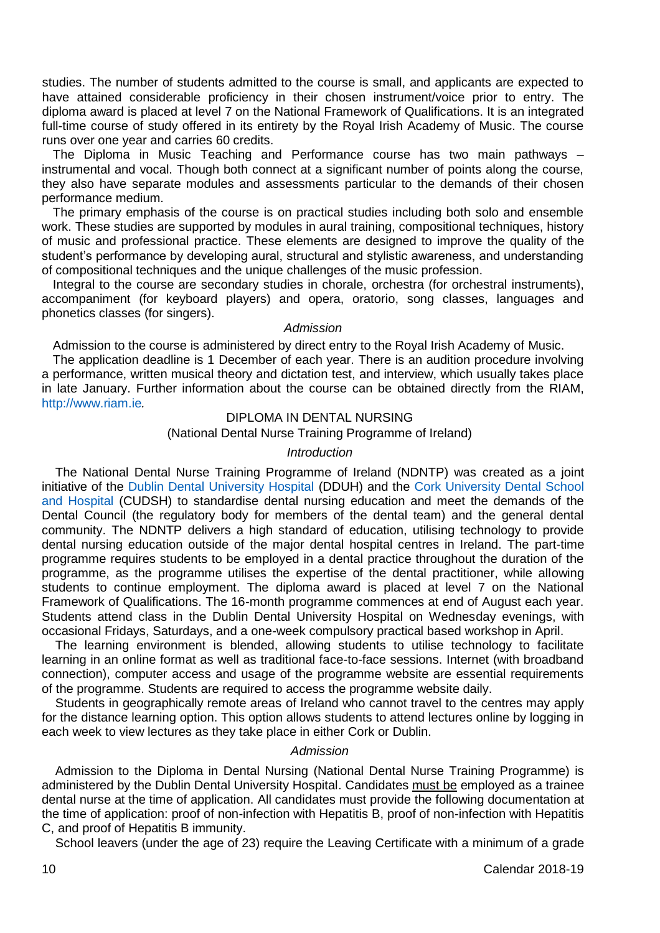studies. The number of students admitted to the course is small, and applicants are expected to have attained considerable proficiency in their chosen instrument/voice prior to entry. The diploma award is placed at level 7 on the National Framework of Qualifications. It is an integrated full-time course of study offered in its entirety by the Royal Irish Academy of Music. The course runs over one year and carries 60 credits.

The Diploma in Music Teaching and Performance course has two main pathways – instrumental and vocal. Though both connect at a significant number of points along the course, they also have separate modules and assessments particular to the demands of their chosen performance medium.

The primary emphasis of the course is on practical studies including both solo and ensemble work. These studies are supported by modules in aural training, compositional techniques, history of music and professional practice. These elements are designed to improve the quality of the student's performance by developing aural, structural and stylistic awareness, and understanding of compositional techniques and the unique challenges of the music profession.

Integral to the course are secondary studies in chorale, orchestra (for orchestral instruments), accompaniment (for keyboard players) and opera, oratorio, song classes, languages and phonetics classes (for singers).

#### *Admission*

Admission to the course is administered by direct entry to the Royal Irish Academy of Music.

The application deadline is 1 December of each year. There is an audition procedure involving a performance, written musical theory and dictation test, and interview, which usually takes place in late January. Further information about the course can be obtained directly from the RIAM, [http://www.riam.ie](http://www.riam.ie/)*.*

## DIPLOMA IN DENTAL NURSING

## (National Dental Nurse Training Programme of Ireland)

#### *Introduction*

The National Dental Nurse Training Programme of Ireland (NDNTP) was created as a joint initiative of the [Dublin Dental University Hospital \(](http://www.dentalhospital.ie/)DDUH) and the [Cork University Dental School](https://www.ucc.ie/en/dentalschool/)  [and Hospital](https://www.ucc.ie/en/dentalschool/) (CUDSH) to standardise dental nursing education and meet the demands of the Dental Council (the regulatory body for members of the dental team) and the general dental community. The NDNTP delivers a high standard of education, utilising technology to provide dental nursing education outside of the major dental hospital centres in Ireland. The part-time programme requires students to be employed in a dental practice throughout the duration of the programme, as the programme utilises the expertise of the dental practitioner, while allowing students to continue employment. The diploma award is placed at level 7 on the National Framework of Qualifications. The 16-month programme commences at end of August each year. Students attend class in the Dublin Dental University Hospital on Wednesday evenings, with occasional Fridays, Saturdays, and a one-week compulsory practical based workshop in April.

The learning environment is blended, allowing students to utilise technology to facilitate learning in an online format as well as traditional face-to-face sessions. Internet (with broadband connection), computer access and usage of the programme website are essential requirements of the programme. Students are required to access the programme website daily.

Students in geographically remote areas of Ireland who cannot travel to the centres may apply for the distance learning option. This option allows students to attend lectures online by logging in each week to view lectures as they take place in either Cork or Dublin.

### *Admission*

Admission to the Diploma in Dental Nursing (National Dental Nurse Training Programme) is administered by the Dublin Dental University Hospital. Candidates must be employed as a trainee dental nurse at the time of application. All candidates must provide the following documentation at the time of application: proof of non-infection with Hepatitis B, proof of non-infection with Hepatitis C, and proof of Hepatitis B immunity.

School leavers (under the age of 23) require the Leaving Certificate with a minimum of a grade